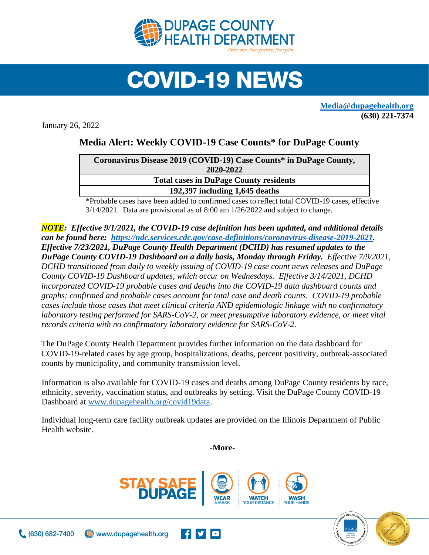

## **COVID-19 NEWS**

**[Media@dupagehealth.org](mailto:Media@dupagehealth.org) (630) 221-7374**

January 26, 2022

## **Media Alert: Weekly COVID-19 Case Counts\* for DuPage County**

| Coronavirus Disease 2019 (COVID-19) Case Counts* in DuPage County, |  |
|--------------------------------------------------------------------|--|
| 2020-2022                                                          |  |
| <b>Total cases in DuPage County residents</b>                      |  |
| 192,397 including 1,645 deaths                                     |  |
|                                                                    |  |

\*Probable cases have been added to confirmed cases to reflect total COVID-19 cases, effective 3/14/2021. Data are provisional as of 8:00 am 1/26/2022 and subject to change.

*NOTE: Effective 9/1/2021, the COVID-19 case definition has been updated, and additional details can be found here: [https://ndc.services.cdc.gov/case-definitions/coronavirus-disease-2019-2021.](https://ndc.services.cdc.gov/case-definitions/coronavirus-disease-2019-2021) Effective 7/23/2021, DuPage County Health Department (DCHD) has resumed updates to the DuPage County COVID-19 Dashboard on a daily basis, Monday through Friday. Effective 7/9/2021, DCHD transitioned from daily to weekly issuing of COVID-19 case count news releases and DuPage County COVID-19 Dashboard updates, which occur on Wednesdays. Effective 3/14/2021, DCHD incorporated COVID-19 probable cases and deaths into the [COVID-19 data dashboard](http://www.dupagehealth.org/covid19data) counts and graphs; confirmed and probable cases account for total case and death counts. COVID-19 probable cases include those cases that meet clinical criteria AND epidemiologic linkage with no confirmatory laboratory testing performed for SARS-CoV-2, or meet presumptive laboratory evidence, or meet vital records criteria with no confirmatory laboratory evidence for SARS-CoV-2.*

The DuPage County Health Department provides further information on the data dashboard for COVID-19-related cases by age group, hospitalizations, deaths, percent positivity, outbreak-associated counts by municipality, and community transmission level.

Information is also available for COVID-19 cases and deaths among DuPage County residents by race, ethnicity, severity, vaccination status, and outbreaks by setting. Visit the DuPage County COVID-19 Dashboard at [www.dupagehealth.org/covid19data.](http://www.dupagehealth.org/covid19data)

Individual long-term care facility outbreak updates are provided on the Illinois Department of Public Health website.

**-More-**